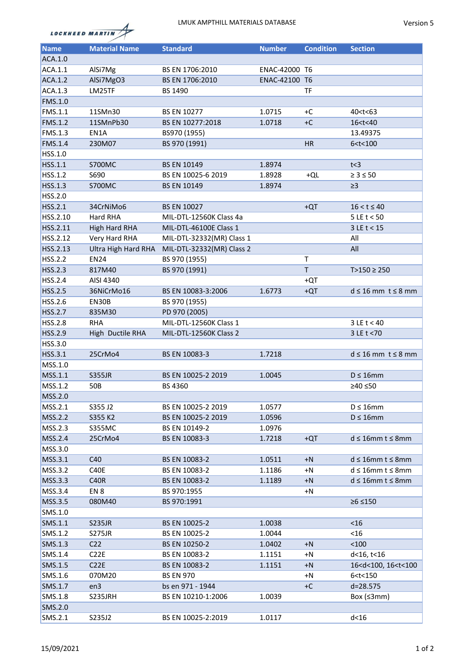



| <b>Name</b>    | <b>Material Name</b> | <b>Standard</b>           | <b>Number</b> | <b>Condition</b> | <b>Section</b>                          |
|----------------|----------------------|---------------------------|---------------|------------------|-----------------------------------------|
| ACA.1.0        |                      |                           |               |                  |                                         |
| ACA.1.1        | AlSi7Mg              | BS EN 1706:2010           | ENAC-42000 T6 |                  |                                         |
| ACA.1.2        | AlSi7MgO3            | BS EN 1706:2010           | ENAC-42100 T6 |                  |                                         |
| ACA.1.3        | LM25TF               | BS 1490                   |               | TF               |                                         |
| FMS.1.0        |                      |                           |               |                  |                                         |
| FMS.1.1        | 11SMn30              | <b>BS EN 10277</b>        | 1.0715        | +C               | 40 <t<63< td=""></t<63<>                |
| <b>FMS.1.2</b> | 11SMnPb30            | BS EN 10277:2018          | 1.0718        | $+C$             | 16 <t<40< td=""></t<40<>                |
| FMS.1.3        | EN1A                 | BS970 (1955)              |               |                  | 13.49375                                |
| FMS.1.4        | 230M07               | BS 970 (1991)             |               | <b>HR</b>        | 6 < t < 100                             |
| HSS.1.0        |                      |                           |               |                  |                                         |
| HSS.1.1        | <b>S700MC</b>        | <b>BS EN 10149</b>        | 1.8974        |                  | t<3                                     |
| HSS.1.2        | S690                 | BS EN 10025-6 2019        | 1.8928        | +QL              | $\geq 3 \leq 50$                        |
| HSS.1.3        | S700MC               | <b>BS EN 10149</b>        | 1.8974        |                  | $\geq$ 3                                |
| HSS.2.0        |                      |                           |               |                  |                                         |
| HSS.2.1        | 34CrNiMo6            | <b>BS EN 10027</b>        |               | $+QT$            | $16 < t \le 40$                         |
| HSS.2.10       | Hard RHA             | MIL-DTL-12560K Class 4a   |               |                  | $5 \, \text{LE}$ t < 50                 |
| HSS.2.11       | <b>High Hard RHA</b> | MIL-DTL-46100E Class 1    |               |                  | $3$ LE t < 15                           |
| HSS.2.12       | Very Hard RHA        | MIL-DTL-32332(MR) Class 1 |               |                  | All                                     |
| HSS.2.13       | Ultra High Hard RHA  | MIL-DTL-32332(MR) Class 2 |               |                  | All                                     |
| HSS.2.2        | <b>EN24</b>          | BS 970 (1955)             |               | T                |                                         |
| HSS.2.3        | 817M40               | BS 970 (1991)             |               | T                | $T>150 \ge 250$                         |
| HSS.2.4        | AISI 4340            |                           |               | +QT              |                                         |
| HSS.2.5        | 36NiCrMo16           | BS EN 10083-3:2006        | 1.6773        | $+QT$            | $d \leq 16$ mm $t \leq 8$ mm            |
| HSS.2.6        | EN30B                | BS 970 (1955)             |               |                  |                                         |
| HSS.2.7        | 835M30               | PD 970 (2005)             |               |                  |                                         |
| <b>HSS.2.8</b> | <b>RHA</b>           | MIL-DTL-12560K Class 1    |               |                  | $3LE$ t < 40                            |
| HSS.2.9        | High Ductile RHA     | MIL-DTL-12560K Class 2    |               |                  | 3 LE t < 70                             |
| HSS.3.0        |                      |                           |               |                  |                                         |
| HSS.3.1        | 25CrMo4              | BS EN 10083-3             | 1.7218        |                  | $d \leq 16$ mm $t \leq 8$ mm            |
| MSS.1.0        |                      |                           |               |                  |                                         |
| MSS.1.1        | <b>S355JR</b>        | BS EN 10025-2 2019        | 1.0045        |                  | $D \leq 16$ mm                          |
| MSS.1.2        | 50B                  | BS 4360                   |               |                  | ≥40 ≤50                                 |
| MSS.2.0        |                      |                           |               |                  |                                         |
| MSS.2.1        | S355 J2              | BS EN 10025-2 2019        | 1.0577        |                  | $D \leq 16$ mm                          |
| MSS.2.2        | S355 K2              | BS EN 10025-2 2019        | 1.0596        |                  | $D \leq 16$ mm                          |
| MSS.2.3        | <b>S355MC</b>        | BS EN 10149-2             | 1.0976        |                  |                                         |
| MSS.2.4        | 25CrMo4              | BS EN 10083-3             | 1.7218        | $+QT$            | $d \leq 16$ mm t $\leq 8$ mm            |
| MSS.3.0        |                      |                           |               |                  |                                         |
| MSS.3.1        | C40                  | BS EN 10083-2             | 1.0511        | $+N$             | $d \leq 16$ mm t $\leq 8$ mm            |
| MSS.3.2        | C40E                 | BS EN 10083-2             | 1.1186        | +N               | $d \leq 16$ mm t $\leq 8$ mm            |
| MSS.3.3        | <b>C40R</b>          | BS EN 10083-2             | 1.1189        | $+N$             | $d \leq 16$ mm t $\leq 8$ mm            |
| MSS.3.4        | EN <sub>8</sub>      | BS 970:1955               |               | $+N$             |                                         |
| MSS.3.5        | 080M40               | BS 970:1991               |               |                  | ≥6 ≤150                                 |
| SMS.1.0        |                      |                           |               |                  |                                         |
| SMS.1.1        | <b>S235JR</b>        | BS EN 10025-2             | 1.0038        |                  | $<$ 16                                  |
| SMS.1.2        | <b>S275JR</b>        | BS EN 10025-2             | 1.0044        |                  | $<$ 16                                  |
| SMS.1.3        | C22                  | BS EN 10250-2             | 1.0402        | $+N$             | < 100                                   |
| SMS.1.4        | C <sub>2</sub> 2E    | BS EN 10083-2             | 1.1151        | +N               | d<16, t<16                              |
| SMS.1.5        | C22E                 | BS EN 10083-2             | 1.1151        | $+N$             | 16 <d<100, 16<t<100<="" td=""></d<100,> |
| SMS.1.6        | 070M20               | <b>BS EN 970</b>          |               | +N               | 6 < t < 150                             |
| SMS.1.7        | en3                  | bs en 971 - 1944          |               | +C               | d=28.575                                |
| SMS.1.8        | S235JRH              | BS EN 10210-1:2006        | 1.0039        |                  | Box $(≤3mm)$                            |
| SMS.2.0        |                      |                           |               |                  |                                         |
| SMS.2.1        | S235J2               | BS EN 10025-2:2019        | 1.0117        |                  | $d<$ 16                                 |